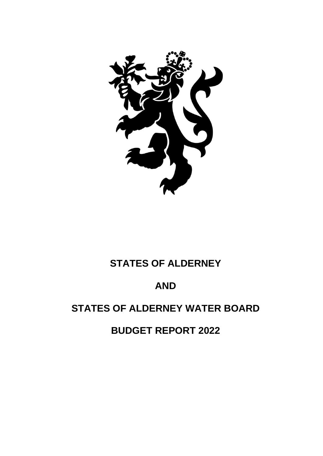

# **STATES OF ALDERNEY**

# **AND**

# **STATES OF ALDERNEY WATER BOARD**

**BUDGET REPORT 2022**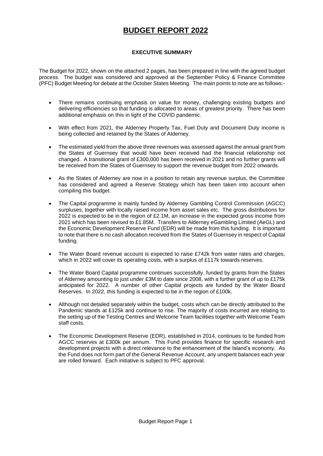# **BUDGET REPORT 2022**

# **EXECUTIVE SUMMARY**

The Budget for 2022, shown on the attached 2 pages, has been prepared in line with the agreed budget process. The budget was considered and approved at the September Policy & Finance Committee (PFC) Budget Meeting for debate at the October States Meeting. The main points to note are as follows:-

- There remains continuing emphasis on value for money, challenging existing budgets and delivering efficiencies so that funding is allocated to areas of greatest priority. There has been additional emphasis on this in light of the COVID pandemic.
- With effect from 2021, the Alderney Property Tax, Fuel Duty and Document Duty income is being collected and retained by the States of Alderney.
- The estimated yield from the above three revenues was assessed against the annual grant from the States of Guernsey that would have been received had the financial relationship not changed. A transitional grant of £300,000 has been received in 2021 and no further grants will be received from the States of Guernsey to support the revenue budget from 2022 onwards.
- As the States of Alderney are now in a position to retain any revenue surplus, the Committee has considered and agreed a Reserve Strategy which has been taken into account when compiling this budget.
- The Capital programme is mainly funded by Alderney Gambling Control Commission (AGCC) surpluses, together with locally raised income from asset sales etc. The gross distributions for 2022 is expected to be in the region of £2.1M, an increase in the expected gross income from 2021 which has been revised to £1.85M. Transfers to Alderney eGambling Limited (AeGL) and the Economic Development Reserve Fund (EDR) will be made from this funding. It is important to note that there is no cash allocation received from the States of Guernsey in respect of Capital funding.
- The Water Board revenue account is expected to raise £742k from water rates and charges, which in 2022 will cover its operating costs, with a surplus of £117k towards reserves.
- The Water Board Capital programme continues successfully, funded by grants from the States of Alderney amounting to just under £3M to date since 2008, with a further grant of up to £175k anticipated for 2022. A number of other Capital projects are funded by the Water Board Reserves. In 2022, this funding is expected to be in the region of £100k.
- Although not detailed separately within the budget, costs which can be directly attributed to the Pandemic stands at £125k and continue to rise. The majority of costs incurred are relating to the setting up of the Testing Centres and Welcome Team facilities together with Welcome Team staff costs.
- The Economic Development Reserve (EDR), established in 2014, continues to be funded from AGCC reserves at £300k per annum. This Fund provides finance for specific research and development projects with a direct relevance to the enhancement of the Island's economy. As the Fund does not form part of the General Revenue Account, any unspent balances each year are rolled forward. Each initiative is subject to PFC approval.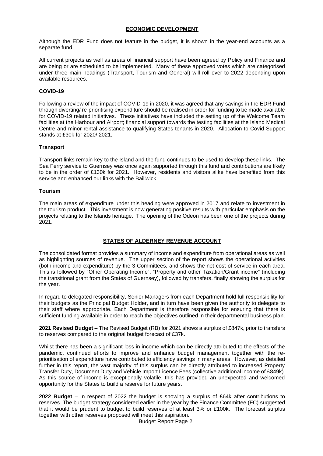# **ECONOMIC DEVELOPMENT**

Although the EDR Fund does not feature in the budget, it is shown in the year-end accounts as a separate fund.

All current projects as well as areas of financial support have been agreed by Policy and Finance and are being or are scheduled to be implemented. Many of these approved votes which are categorised under three main headings (Transport, Tourism and General) will roll over to 2022 depending upon available resources.

# **COVID-19**

Following a review of the impact of COVID-19 in 2020, it was agreed that any savings in the EDR Fund through diverting/ re-prioritising expenditure should be realised in order for funding to be made available for COVID-19 related initiatives. These initiatives have included the setting up of the Welcome Team facilities at the Harbour and Airport; financial support towards the testing facilities at the Island Medical Centre and minor rental assistance to qualifying States tenants in 2020. Allocation to Covid Support stands at £30k for 2020/ 2021.

#### **Transport**

Transport links remain key to the Island and the fund continues to be used to develop these links. The Sea Ferry service to Guernsey was once again supported through this fund and contributions are likely to be in the order of £130k for 2021. However, residents and visitors alike have benefited from this service and enhanced our links with the Bailiwick.

#### **Tourism**

The main areas of expenditure under this heading were approved in 2017 and relate to investment in the tourism product. This investment is now generating positive results with particular emphasis on the projects relating to the Islands heritage. The opening of the Odeon has been one of the projects during 2021.

# **STATES OF ALDERNEY REVENUE ACCOUNT**

The consolidated format provides a summary of income and expenditure from operational areas as well as highlighting sources of revenue. The upper section of the report shows the operational activities (both income and expenditure) by the 3 Committees, and shows the net cost of service in each area. This is followed by "Other Operating Income", "Property and other Taxation/Grant income" (including the transitional grant from the States of Guernsey), followed by transfers, finally showing the surplus for the year.

In regard to delegated responsibility, Senior Managers from each Department hold full responsibility for their budgets as the Principal Budget Holder, and in turn have been given the authority to delegate to their staff where appropriate. Each Department is therefore responsible for ensuring that there is sufficient funding available in order to reach the objectives outlined in their departmental business plan.

**2021 Revised Budget** – The Revised Budget (RB) for 2021 shows a surplus of £847k, prior to transfers to reserves compared to the original budget forecast of £37k.

Whilst there has been a significant loss in income which can be directly attributed to the effects of the pandemic, continued efforts to improve and enhance budget management together with the reprioritisation of expenditure have contributed to efficiency savings in many areas. However, as detailed further in this report, the vast majority of this surplus can be directly attributed to increased Property Transfer Duty, Document Duty and Vehicle Import Licence Fees (collective additional income of £849k). As this source of income is exceptionally volatile, this has provided an unexpected and welcomed opportunity for the States to build a reserve for future years.

**2022 Budget** – In respect of 2022 the budget is showing a surplus of £64k after contributions to reserves. The budget strategy considered earlier in the year by the Finance Committee (FC) suggested that it would be prudent to budget to build reserves of at least 3% or £100k. The forecast surplus together with other reserves proposed will meet this aspiration.

Budget Report Page 2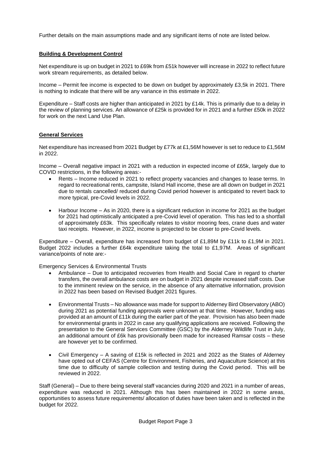Further details on the main assumptions made and any significant items of note are listed below.

# **Building & Development Control**

Net expenditure is up on budget in 2021 to £69k from £51k however will increase in 2022 to reflect future work stream requirements, as detailed below.

Income – Permit fee income is expected to be down on budget by approximately £3,5k in 2021. There is nothing to indicate that there will be any variance in this estimate in 2022.

Expenditure – Staff costs are higher than anticipated in 2021 by £14k. This is primarily due to a delay in the review of planning services. An allowance of £25k is provided for in 2021 and a further £50k in 2022 for work on the next Land Use Plan.

#### **General Services**

Net expenditure has increased from 2021 Budget by £77k at £1,56M however is set to reduce to £1,56M in 2022.

Income – Overall negative impact in 2021 with a reduction in expected income of £65k, largely due to COVID restrictions, in the following areas:-

- Rents Income reduced in 2021 to reflect property vacancies and changes to lease terms. In regard to recreational rents, campsite, Island Hall income, these are all down on budget in 2021 due to rentals cancelled/ reduced during Covid period however is anticipated to revert back to more typical, pre-Covid levels in 2022.
- Harbour Income As in 2020, there is a significant reduction in income for 2021 as the budget for 2021 had optimistically anticipated a pre-Covid level of operation. This has led to a shortfall of approximately £63k. This specifically relates to visitor mooring fees, crane dues and water taxi receipts. However, in 2022, income is projected to be closer to pre-Covid levels.

Expenditure – Overall, expenditure has increased from budget of £1,89M by £11k to £1,9M in 2021. Budget 2022 includes a further £64k expenditure taking the total to £1,97M. Areas of significant variance/points of note are:-

Emergency Services & Environmental Trusts

- Ambulance Due to anticipated recoveries from Health and Social Care in regard to charter transfers, the overall ambulance costs are on budget in 2021 despite increased staff costs. Due to the imminent review on the service, in the absence of any alternative information, provision in 2022 has been based on Revised Budget 2021 figures.
- Environmental Trusts No allowance was made for support to Alderney Bird Observatory (ABO) during 2021 as potential funding approvals were unknown at that time. However, funding was provided at an amount of £11k during the earlier part of the year. Provision has also been made for environmental grants in 2022 in case any qualifying applications are received. Following the presentation to the General Services Committee (GSC) by the Alderney Wildlife Trust in July, an additional amount of £6k has provisionally been made for increased Ramsar costs – these are however yet to be confirmed.
- Civil Emergency A saving of £15k is reflected in 2021 and 2022 as the States of Alderney have opted out of CEFAS (Centre for Environment, Fisheries, and Aquaculture Science) at this time due to difficulty of sample collection and testing during the Covid period. This will be reviewed in 2022.

Staff (General) – Due to there being several staff vacancies during 2020 and 2021 in a number of areas, expenditure was reduced in 2021. Although this has been maintained in 2022 in some areas, opportunities to assess future requirements/ allocation of duties have been taken and is reflected in the budget for 2022.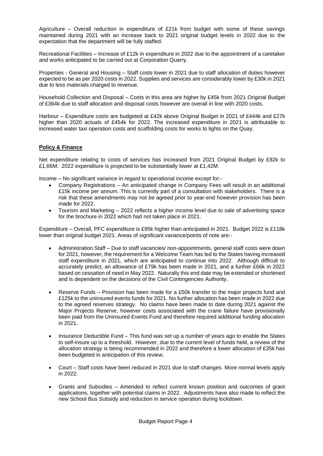Agriculture – Overall reduction in expenditure of  $£21k$  from budget with some of these savings maintained during 2021 with an increase back to 2021 original budget levels in 2022 due to the expectation that the department will be fully staffed.

Recreational Facilities – Increase of £12k in expenditure in 2022 due to the appointment of a caretaker and works anticipated to be carried out at Corporation Quarry.

Properties - General and Housing – Staff costs lower in 2021 due to staff allocation of duties however expected to be as per 2020 costs in 2022. Supplies and services are considerably lower by £30k in 2021 due to less materials charged to revenue.

Household Collection and Disposal – Costs in this area are higher by £45k from 2021 Original Budget of £364k due to staff allocation and disposal costs however are overall in line with 2020 costs.

Harbour – Expenditure costs are budgeted at £42k above Original Budget in 2021 of £444k and £27k higher than 2020 actuals of £454k for 2022. The increased expenditure in 2021 is attributable to increased water taxi operation costs and scaffolding costs for works to lights on the Quay.

# **Policy & Finance**

Net expenditure relating to costs of services has increased from 2021 Original Budget by £92k to £1,66M. 2022 expenditure is projected to be substantially lower at £1,42M.

Income – No significant variance in regard to operational income except for:-

- Company Registrations An anticipated change in Company Fees will result in an additional £15k income per annum. This is currently part of a consultation with stakeholders. There is a risk that these amendments may not be agreed prior to year-end however provision has been made for 2022.
- Tourism and Marketing 2022 reflects a higher income level due to sale of advertising space for the brochure in 2022 which had not taken place in 2021.

Expenditure – Overall, PFC expenditure is £95k higher than anticipated in 2021. Budget 2022 is £118k lower than original budget 2021. Areas of significant variance/points of note are:-

- Administration Staff Due to staff vacancies/ non-appointments, general staff costs were down for 2021, however, the requirement for a Welcome Team has led to the States having increased staff expenditure in 2021, which are anticipated to continue into 2022. Although difficult to accurately predict, an allowance of £79k has been made in 2021, and a further £66k in 2022 based on cessation of need in May 2022. Naturally this end date may be extended or shortened and is dependent on the decisions of the Civil Contingencies Authority.
- Reserve Funds Provision has been made for a £50k transfer to the major projects fund and £125k to the uninsured events funds for 2021. No further allocation has been made in 2022 due to the agreed reserves strategy. No claims have been made to date during 2021 against the Major Projects Reserve, however costs associated with the crane failure have provisionally been paid from the Uninsured Events Fund and therefore required additional funding allocation in 2021.
- Insurance Deductible Fund This fund was set up a number of years ago to enable the States to self-insure up to a threshold. However, due to the current level of funds held, a review of the allocation strategy is being recommended in 2022 and therefore a lower allocation of £35k has been budgeted in anticipation of this review.
- Court Staff costs have been reduced in 2021 due to staff changes. More normal levels apply in 2022.
- Grants and Subsidies Amended to reflect current known position and outcomes of grant applications, together with potential claims in 2022. Adjustments have also made to reflect the new School Bus Subsidy and reduction in service operation during lockdown.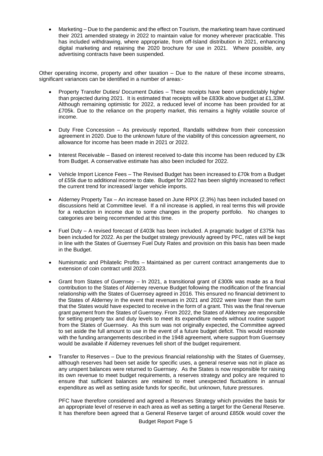• Marketing – Due to the pandemic and the effect on Tourism, the marketing team have continued their 2021 amended strategy in 2022 to maintain value for money wherever practicable. This has included withdrawing, where appropriate, from off-Island distribution in 2021, enhancing digital marketing and retaining the 2020 brochure for use in 2021. Where possible, any advertising contracts have been suspended.

Other operating income, property and other taxation – Due to the nature of these income streams, significant variances can be identified in a number of areas:-

- Property Transfer Duties/ Document Duties These receipts have been unpredictably higher than projected during 2021. It is estimated that receipts will be £830k above budget at £1,33M. Although remaining optimistic for 2022, a reduced level of income has been provided for at £705k. Due to the reliance on the property market, this remains a highly volatile source of income.
- Duty Free Concession As previously reported, Randalls withdrew from their concession agreement in 2020. Due to the unknown future of the viability of this concession agreement, no allowance for income has been made in 2021 or 2022.
- Interest Receivable Based on interest received to-date this income has been reduced by £3k from Budget. A conservative estimate has also been included for 2022.
- Vehicle Import Licence Fees The Revised Budget has been increased to £70k from a Budget of £55k due to additional income to date. Budget for 2022 has been slightly increased to reflect the current trend for increased/ larger vehicle imports.
- Alderney Property Tax An increase based on June RPIX (2.3%) has been included based on discussions held at Committee level. If a nil increase is applied, in real terms this will provide for a reduction in income due to some changes in the property portfolio. No changes to categories are being recommended at this time.
- Fuel Duty A revised forecast of £403k has been included. A pragmatic budget of £375k has been included for 2022. As per the budget strategy previously agreed by PFC, rates will be kept in line with the States of Guernsey Fuel Duty Rates and provision on this basis has been made in the Budget.
- Numismatic and Philatelic Profits Maintained as per current contract arrangements due to extension of coin contract until 2023.
- Grant from States of Guernsey In 2021, a transitional grant of £300k was made as a final contribution to the States of Alderney revenue Budget following the modification of the financial relationship with the States of Guernsey agreed in 2016. This ensured no financial detriment to the States of Alderney in the event that revenues in 2021 and 2022 were lower than the sum that the States would have expected to receive in the form of a grant. This was the final revenue grant payment from the States of Guernsey. From 2022, the States of Alderney are responsible for setting property tax and duty levels to meet its expenditure needs without routine support from the States of Guernsey. As this sum was not originally expected, the Committee agreed to set aside the full amount to use in the event of a future budget deficit. This would resonate with the funding arrangements described in the 1948 agreement, where support from Guernsey would be available if Alderney revenues fell short of the budget requirement.
- Transfer to Reserves Due to the previous financial relationship with the States of Guernsey, although reserves had been set aside for specific uses, a general reserve was not in place as any unspent balances were returned to Guernsey. As the States is now responsible for raising its own revenue to meet budget requirements, a reserves strategy and policy are required to ensure that sufficient balances are retained to meet unexpected fluctuations in annual expenditure as well as setting aside funds for specific, but unknown, future pressures.

PFC have therefore considered and agreed a Reserves Strategy which provides the basis for an appropriate level of reserve in each area as well as setting a target for the General Reserve. It has therefore been agreed that a General Reserve target of around £850k would cover the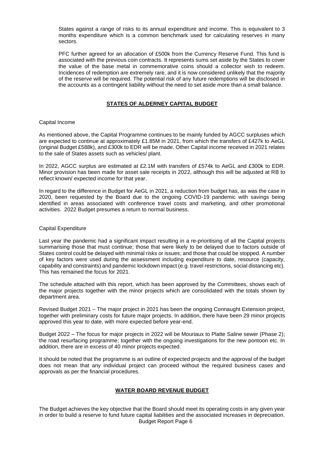States against a range of risks to its annual expenditure and income. This is equivalent to 3 months expenditure which is a common benchmark used for calculating reserves in many sectors.

PFC further agreed for an allocation of £500k from the Currency Reserve Fund. This fund is associated with the previous coin contracts. It represents sums set aside by the States to cover the value of the base metal in commemorative coins should a collector wish to redeem. Incidences of redemption are extremely rare, and it is now considered unlikely that the majority of the reserve will be required. The potential risk of any future redemptions will be disclosed in the accounts as a contingent liability without the need to set aside more than a small balance.

### **STATES OF ALDERNEY CAPITAL BUDGET**

#### Capital Income

As mentioned above, the Capital Programme continues to be mainly funded by AGCC surpluses which are expected to continue at approximately £1.85M in 2021, from which the transfers of £427k to AeGL (original Budget £588k), and £300k to EDR will be made. Other Capital income received in 2021 relates to the sale of States assets such as vehicles/ plant.

In 2022, AGCC surplus are estimated at £2.1M with transfers of £574k to AeGL and £300k to EDR. Minor provision has been made for asset sale receipts in 2022, although this will be adjusted at RB to reflect known/ expected income for that year.

In regard to the difference in Budget for AeGL in 2021, a reduction from budget has, as was the case in 2020, been requested by the Board due to the ongoing COVID-19 pandemic with savings being identified in areas associated with conference travel costs and marketing, and other promotional activities. 2022 Budget presumes a return to normal business.

#### Capital Expenditure

Last year the pandemic had a significant impact resulting in a re-prioritising of all the Capital projects summarising those that must continue; those that were likely to be delayed due to factors outside of States control could be delayed with minimal risks or issues; and those that could be stopped. A number of key factors were used during the assessment including expenditure to date, resource (capacity, capability and constraints) and pandemic lockdown impact (e.g. travel restrictions, social distancing etc). This has remained the focus for 2021.

The schedule attached with this report, which has been approved by the Committees, shows each of the major projects together with the minor projects which are consolidated with the totals shown by department area.

Revised Budget 2021 – The major project in 2021 has been the ongoing Connaught Extension project, together with preliminary costs for future major projects. In addition, there have been 29 minor projects approved this year to date, with more expected before year-end.

Budget 2022 – The focus for major projects in 2022 will be Mouriaux to Platte Saline sewer (Phase 2); the road resurfacing programme; together with the ongoing investigations for the new pontoon etc. In addition, there are in excess of 40 minor projects expected.

It should be noted that the programme is an outline of expected projects and the approval of the budget does not mean that any individual project can proceed without the required business cases and approvals as per the financial procedures.

#### **WATER BOARD REVENUE BUDGET**

Budget Report Page 6 The Budget achieves the key objective that the Board should meet its operating costs in any given year in order to build a reserve to fund future capital liabilities and the associated increases in depreciation.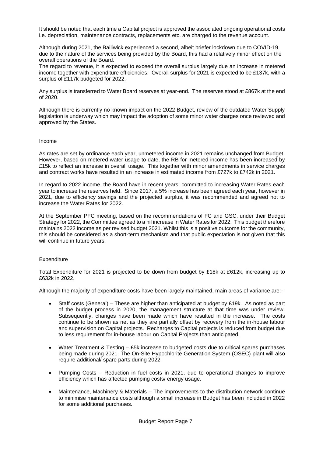It should be noted that each time a Capital project is approved the associated ongoing operational costs i.e. depreciation, maintenance contracts, replacements etc. are charged to the revenue account.

Although during 2021, the Bailiwick experienced a second, albeit briefer lockdown due to COVID-19, due to the nature of the services being provided by the Board, this had a relatively minor effect on the overall operations of the Board.

The regard to revenue, it is expected to exceed the overall surplus largely due an increase in metered income together with expenditure efficiencies. Overall surplus for 2021 is expected to be £137k, with a surplus of £117k budgeted for 2022.

Any surplus is transferred to Water Board reserves at year-end. The reserves stood at £867k at the end of 2020.

Although there is currently no known impact on the 2022 Budget, review of the outdated Water Supply legislation is underway which may impact the adoption of some minor water charges once reviewed and approved by the States.

#### Income

As rates are set by ordinance each year, unmetered income in 2021 remains unchanged from Budget. However, based on metered water usage to date, the RB for metered income has been increased by £15k to reflect an increase in overall usage. This together with minor amendments in service charges and contract works have resulted in an increase in estimated income from £727k to £742k in 2021.

In regard to 2022 income, the Board have in recent years, committed to increasing Water Rates each year to increase the reserves held. Since 2017, a 5% increase has been agreed each year, however in 2021, due to efficiency savings and the projected surplus, it was recommended and agreed not to increase the Water Rates for 2022.

At the September PFC meeting, based on the recommendations of FC and GSC, under their Budget Strategy for 2022, the Committee agreed to a nil increase in Water Rates for 2022. This budget therefore maintains 2022 income as per revised budget 2021. Whilst this is a positive outcome for the community, this should be considered as a short-term mechanism and that public expectation is not given that this will continue in future years.

#### **Expenditure**

Total Expenditure for 2021 is projected to be down from budget by £18k at £612k, increasing up to £632k in 2022.

Although the majority of expenditure costs have been largely maintained, main areas of variance are:-

- Staff costs (General) These are higher than anticipated at budget by £19k. As noted as part of the budget process in 2020, the management structure at that time was under review. Subsequently, changes have been made which have resulted in the increase. The costs continue to be shown as net as they are partially offset by recovery from the in-house labour and supervision on Capital projects. Recharges to Capital projects is reduced from budget due to less requirement for in-house labour on Capital Projects than anticipated.
- Water Treatment & Testing  $-$  £5k increase to budgeted costs due to critical spares purchases being made during 2021. The On-Site Hypochlorite Generation System (OSEC) plant will also require additional/ spare parts during 2022.
- Pumping Costs Reduction in fuel costs in 2021, due to operational changes to improve efficiency which has affected pumping costs/ energy usage.
- Maintenance, Machinery & Materials The improvements to the distribution network continue to minimise maintenance costs although a small increase in Budget has been included in 2022 for some additional purchases.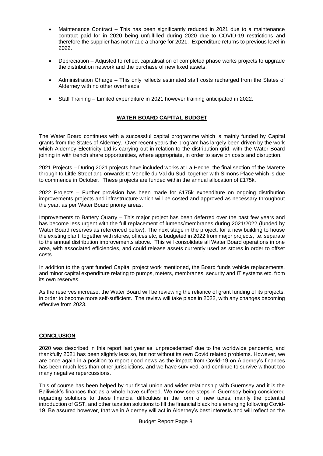- Maintenance Contract This has been significantly reduced in 2021 due to a maintenance contract paid for in 2020 being unfulfilled during 2020 due to COVID-19 restrictions and therefore the supplier has not made a charge for 2021. Expenditure returns to previous level in 2022.
- Depreciation Adjusted to reflect capitalisation of completed phase works projects to upgrade the distribution network and the purchase of new fixed assets.
- Administration Charge This only reflects estimated staff costs recharged from the States of Alderney with no other overheads.
- Staff Training Limited expenditure in 2021 however training anticipated in 2022.

# **WATER BOARD CAPITAL BUDGET**

The Water Board continues with a successful capital programme which is mainly funded by Capital grants from the States of Alderney. Over recent years the program has largely been driven by the work which Alderney Electricity Ltd is carrying out in relation to the distribution grid, with the Water Board joining in with trench share opportunities, where appropriate, in order to save on costs and disruption.

2021 Projects – During 2021 projects have included works at La Heche, the final section of the Marette through to Little Street and onwards to Venelle du Val du Sud, together with Simons Place which is due to commence in October. These projects are funded within the annual allocation of £175k.

2022 Projects – Further provision has been made for £175k expenditure on ongoing distribution improvements projects and infrastructure which will be costed and approved as necessary throughout the year, as per Water Board priority areas.

Improvements to Battery Quarry – This major project has been deferred over the past few years and has become less urgent with the full replacement of lumens/membranes during 2021/2022 (funded by Water Board reserves as referenced below). The next stage in the project, for a new building to house the existing plant, together with stores, offices etc, is budgeted in 2022 from major projects, i.e. separate to the annual distribution improvements above. This will consolidate all Water Board operations in one area, with associated efficiencies, and could release assets currently used as stores in order to offset costs.

In addition to the grant funded Capital project work mentioned, the Board funds vehicle replacements, and minor capital expenditure relating to pumps, meters, membranes, security and IT systems etc. from its own reserves.

As the reserves increase, the Water Board will be reviewing the reliance of grant funding of its projects, in order to become more self-sufficient. The review will take place in 2022, with any changes becoming effective from 2023.

# **CONCLUSION**

2020 was described in this report last year as 'unprecedented' due to the worldwide pandemic, and thankfully 2021 has been slightly less so, but not without its own Covid related problems. However, we are once again in a position to report good news as the impact from Covid-19 on Alderney's finances has been much less than other jurisdictions, and we have survived, and continue to survive without too many negative repercussions.

This of course has been helped by our fiscal union and wider relationship with Guernsey and it is the Bailiwick's finances that as a whole have suffered. We now see steps in Guernsey being considered regarding solutions to these financial difficulties in the form of new taxes, mainly the potential introduction of GST, and other taxation solutions to fill the financial black hole emerging following Covid-19. Be assured however, that we in Alderney will act in Alderney's best interests and will reflect on the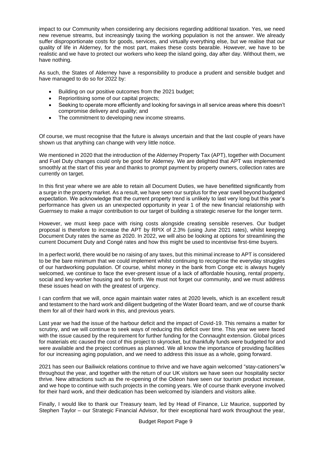impact to our Community when considering any decisions regarding additional taxation. Yes, we need new revenue streams, but increasingly taxing the working population is not the answer. We already suffer disproportionate costs for goods, services, and virtually everything else, but we realise that our quality of life in Alderney, for the most part, makes these costs bearable. However, we have to be realistic and we have to protect our workers who keep the island going, day after day. Without them, we have nothing.

As such, the States of Alderney have a responsibility to produce a prudent and sensible budget and have managed to do so for 2022 by:

- Building on our positive outcomes from the 2021 budget;
- Reprioritising some of our capital projects;
- Seeking to operate more efficiently and looking for savings in all service areas where this doesn't compromise delivery and quality; and
- The commitment to developing new income streams.

Of course, we must recognise that the future is always uncertain and that the last couple of years have shown us that anything can change with very little notice.

We mentioned in 2020 that the introduction of the Alderney Property Tax (APT), together with Document and Fuel Duty changes could only be good for Alderney. We are delighted that APT was implemented smoothly at the start of this year and thanks to prompt payment by property owners, collection rates are currently on target.

In this first year where we are able to retain all Document Duties, we have benefitted significantly from a surge in the property market. As a result, we have seen our surplus for the year swell beyond budgeted expectation. We acknowledge that the current property trend is unlikely to last very long but this year's performance has given us an unexpected opportunity in year 1 of the new financial relationship with Guernsey to make a major contribution to our target of building a strategic reserve for the longer term.

However, we must keep pace with rising costs alongside creating sensible reserves. Our budget proposal is therefore to increase the APT by RPIX of 2.3% (using June 2021 rates), whilst keeping Document Duty rates the same as 2020. In 2022, we will also be looking at options for streamlining the current Document Duty and Congé rates and how this might be used to incentivise first-time buyers.

In a perfect world, there would be no raising of any taxes, but this minimal increase to APT is considered to be the bare minimum that we could implement whilst continuing to recognise the everyday struggles of our hardworking population. Of course, whilst money in the bank from Conge etc is always hugely welcomed, we continue to face the ever-present issue of a lack of affordable housing, rental property, social and key-worker housing and so forth. We must not forget our community, and we must address these issues head on with the greatest of urgency.

I can confirm that we will, once again maintain water rates at 2020 levels, which is an excellent result and testament to the hard work and diligent budgeting of the Water Board team, and we of course thank them for all of their hard work in this, and previous years.

Last year we had the issue of the harbour deficit and the impact of Covid-19. This remains a matter for scrutiny, and we will continue to seek ways of reducing this deficit over time. This year we were faced with the issue caused by the requirement for further funding for the Connaught extension. Global prices for materials etc caused the cost of this project to skyrocket, but thankfully funds were budgeted for and were available and the project continues as planned. We all know the importance of providing facilities for our increasing aging population, and we need to address this issue as a whole, going forward.

2021 has seen our Bailiwick relations continue to thrive and we have again welcomed "stay-cationers"w throughout the year, and together with the return of our UK visitors we have seen our hospitality sector thrive. New attractions such as the re-opening of the Odeon have seen our tourism product increase, and we hope to continue with such projects in the coming years. We of course thank everyone involved for their hard work, and their dedication has been welcomed by islanders and visitors alike.

Finally, I would like to thank our Treasury team, led by Head of Finance, Liz Maurice, supported by Stephen Taylor – our Strategic Financial Advisor, for their exceptional hard work throughout the year,